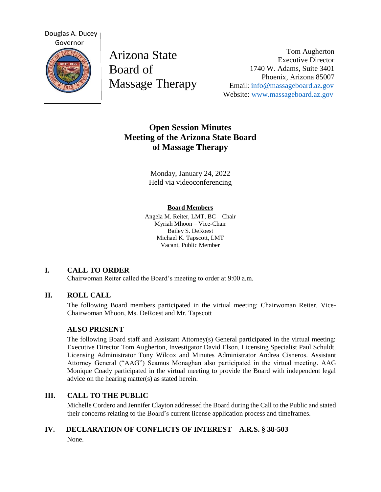

Arizona State Board of Massage Therapy

Tom Augherton Executive Director 1740 W. Adams, Suite 3401 Phoenix, Arizona 85007 Email: [info@massageboard.az.gov](mailto:info@massageboard.az.gov) Website: [www.massageboard.az.gov](http://www.massageboard.az.gov/)

# **Open Session Minutes Meeting of the Arizona State Board of Massage Therapy**

Monday, January 24, 2022 Held via videoconferencing

### **Board Members**

Angela M. Reiter, LMT, BC – Chair Myriah Mhoon – Vice-Chair Bailey S. DeRoest Michael K. Tapscott, LMT Vacant, Public Member

## **I. CALL TO ORDER**

Chairwoman Reiter called the Board's meeting to order at 9:00 a.m.

## **II. ROLL CALL**

The following Board members participated in the virtual meeting: Chairwoman Reiter, Vice-Chairwoman Mhoon, Ms. DeRoest and Mr. Tapscott

## **ALSO PRESENT**

The following Board staff and Assistant Attorney(s) General participated in the virtual meeting: Executive Director Tom Augherton, Investigator David Elson, Licensing Specialist Paul Schuldt, Licensing Administrator Tony Wilcox and Minutes Administrator Andrea Cisneros. Assistant Attorney General ("AAG") Seamus Monaghan also participated in the virtual meeting. AAG Monique Coady participated in the virtual meeting to provide the Board with independent legal advice on the hearing matter(s) as stated herein.

## **III. CALL TO THE PUBLIC**

Michelle Cordero and Jennifer Clayton addressed the Board during the Call to the Public and stated their concerns relating to the Board's current license application process and timeframes.

# **IV. DECLARATION OF CONFLICTS OF INTEREST – A.R.S. § 38-503**

None.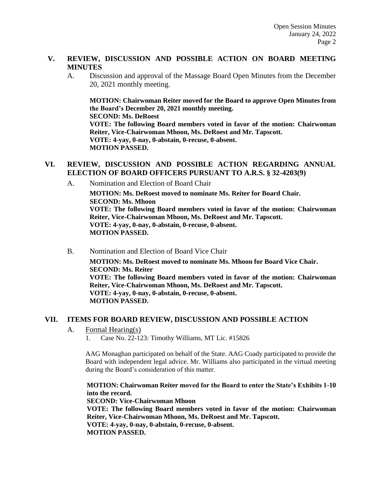### **V. REVIEW, DISCUSSION AND POSSIBLE ACTION ON BOARD MEETING MINUTES**

A. Discussion and approval of the Massage Board Open Minutes from the December 20, 2021 monthly meeting.

**MOTION: Chairwoman Reiter moved for the Board to approve Open Minutes from the Board's December 20, 2021 monthly meeting. SECOND: Ms. DeRoest VOTE: The following Board members voted in favor of the motion: Chairwoman Reiter, Vice-Chairwoman Mhoon, Ms. DeRoest and Mr. Tapscott. VOTE: 4-yay, 0-nay, 0-abstain, 0-recuse, 0-absent. MOTION PASSED.** 

## **VI. REVIEW, DISCUSSION AND POSSIBLE ACTION REGARDING ANNUAL ELECTION OF BOARD OFFICERS PURSUANT TO A.R.S. § 32-4203(9)**

A. Nomination and Election of Board Chair

**MOTION: Ms. DeRoest moved to nominate Ms. Reiter for Board Chair. SECOND: Ms. Mhoon VOTE: The following Board members voted in favor of the motion: Chairwoman Reiter, Vice-Chairwoman Mhoon, Ms. DeRoest and Mr. Tapscott. VOTE: 4-yay, 0-nay, 0-abstain, 0-recuse, 0-absent. MOTION PASSED.** 

B. Nomination and Election of Board Vice Chair **MOTION: Ms. DeRoest moved to nominate Ms. Mhoon for Board Vice Chair. SECOND: Ms. Reiter VOTE: The following Board members voted in favor of the motion: Chairwoman Reiter, Vice-Chairwoman Mhoon, Ms. DeRoest and Mr. Tapscott. VOTE: 4-yay, 0-nay, 0-abstain, 0-recuse, 0-absent. MOTION PASSED.** 

### **VII. ITEMS FOR BOARD REVIEW, DISCUSSION AND POSSIBLE ACTION**

- A. Formal Hearing(s)
	- 1. Case No. 22-123: Timothy Williams, MT Lic. #15826

AAG Monaghan participated on behalf of the State. AAG Coady participated to provide the Board with independent legal advice. Mr. Williams also participated in the virtual meeting during the Board's consideration of this matter.

**MOTION: Chairwoman Reiter moved for the Board to enter the State's Exhibits 1-10 into the record.** 

**SECOND: Vice-Chairwoman Mhoon VOTE: The following Board members voted in favor of the motion: Chairwoman Reiter, Vice-Chairwoman Mhoon, Ms. DeRoest and Mr. Tapscott. VOTE: 4-yay, 0-nay, 0-abstain, 0-recuse, 0-absent. MOTION PASSED.**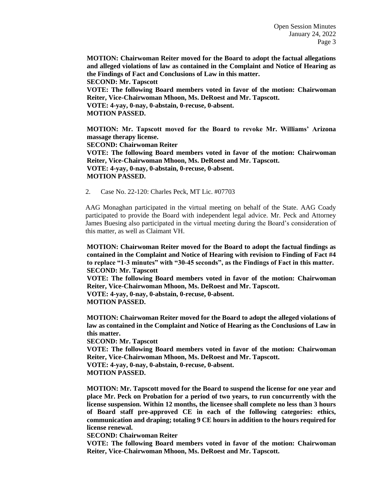**MOTION: Chairwoman Reiter moved for the Board to adopt the factual allegations and alleged violations of law as contained in the Complaint and Notice of Hearing as the Findings of Fact and Conclusions of Law in this matter. SECOND: Mr. Tapscott VOTE: The following Board members voted in favor of the motion: Chairwoman Reiter, Vice-Chairwoman Mhoon, Ms. DeRoest and Mr. Tapscott. VOTE: 4-yay, 0-nay, 0-abstain, 0-recuse, 0-absent. MOTION PASSED.** 

**MOTION: Mr. Tapscott moved for the Board to revoke Mr. Williams' Arizona massage therapy license. SECOND: Chairwoman Reiter VOTE: The following Board members voted in favor of the motion: Chairwoman Reiter, Vice-Chairwoman Mhoon, Ms. DeRoest and Mr. Tapscott. VOTE: 4-yay, 0-nay, 0-abstain, 0-recuse, 0-absent. MOTION PASSED.** 

2. Case No. 22-120: Charles Peck, MT Lic. #07703

AAG Monaghan participated in the virtual meeting on behalf of the State. AAG Coady participated to provide the Board with independent legal advice. Mr. Peck and Attorney James Buesing also participated in the virtual meeting during the Board's consideration of this matter, as well as Claimant VH.

**MOTION: Chairwoman Reiter moved for the Board to adopt the factual findings as contained in the Complaint and Notice of Hearing with revision to Finding of Fact #4 to replace "1-3 minutes" with "30-45 seconds", as the Findings of Fact in this matter. SECOND: Mr. Tapscott** 

**VOTE: The following Board members voted in favor of the motion: Chairwoman Reiter, Vice-Chairwoman Mhoon, Ms. DeRoest and Mr. Tapscott. VOTE: 4-yay, 0-nay, 0-abstain, 0-recuse, 0-absent.** 

**MOTION PASSED.** 

**MOTION: Chairwoman Reiter moved for the Board to adopt the alleged violations of law as contained in the Complaint and Notice of Hearing as the Conclusions of Law in this matter.** 

**SECOND: Mr. Tapscott** 

**VOTE: The following Board members voted in favor of the motion: Chairwoman Reiter, Vice-Chairwoman Mhoon, Ms. DeRoest and Mr. Tapscott.**

**VOTE: 4-yay, 0-nay, 0-abstain, 0-recuse, 0-absent.** 

**MOTION PASSED.** 

**MOTION: Mr. Tapscott moved for the Board to suspend the license for one year and place Mr. Peck on Probation for a period of two years, to run concurrently with the license suspension. Within 12 months, the licensee shall complete no less than 3 hours of Board staff pre-approved CE in each of the following categories: ethics, communication and draping; totaling 9 CE hours in addition to the hours required for license renewal.** 

**SECOND: Chairwoman Reiter** 

**VOTE: The following Board members voted in favor of the motion: Chairwoman Reiter, Vice-Chairwoman Mhoon, Ms. DeRoest and Mr. Tapscott.**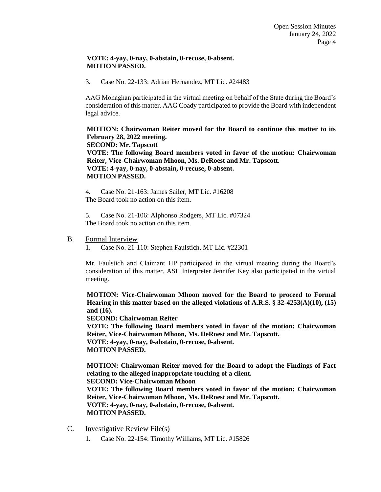#### **VOTE: 4-yay, 0-nay, 0-abstain, 0-recuse, 0-absent. MOTION PASSED.**

3. Case No. 22-133: Adrian Hernandez, MT Lic. #24483

AAG Monaghan participated in the virtual meeting on behalf of the State during the Board's consideration of this matter. AAG Coady participated to provide the Board with independent legal advice.

**MOTION: Chairwoman Reiter moved for the Board to continue this matter to its February 28, 2022 meeting. SECOND: Mr. Tapscott VOTE: The following Board members voted in favor of the motion: Chairwoman Reiter, Vice-Chairwoman Mhoon, Ms. DeRoest and Mr. Tapscott. VOTE: 4-yay, 0-nay, 0-abstain, 0-recuse, 0-absent. MOTION PASSED.** 

4. Case No. 21-163: James Sailer, MT Lic. #16208 The Board took no action on this item.

5. Case No. 21-106: Alphonso Rodgers, MT Lic. #07324 The Board took no action on this item.

#### B. Formal Interview

1. Case No. 21-110: Stephen Faulstich, MT Lic. #22301

Mr. Faulstich and Claimant HP participated in the virtual meeting during the Board's consideration of this matter. ASL Interpreter Jennifer Key also participated in the virtual meeting.

**MOTION: Vice-Chairwoman Mhoon moved for the Board to proceed to Formal Hearing in this matter based on the alleged violations of A.R.S. § 32-4253(A)(10), (15) and (16).** 

**SECOND: Chairwoman Reiter** 

**VOTE: The following Board members voted in favor of the motion: Chairwoman Reiter, Vice-Chairwoman Mhoon, Ms. DeRoest and Mr. Tapscott.**

**VOTE: 4-yay, 0-nay, 0-abstain, 0-recuse, 0-absent. MOTION PASSED.** 

**MOTION: Chairwoman Reiter moved for the Board to adopt the Findings of Fact relating to the alleged inappropriate touching of a client. SECOND: Vice-Chairwoman Mhoon** 

**VOTE: The following Board members voted in favor of the motion: Chairwoman Reiter, Vice-Chairwoman Mhoon, Ms. DeRoest and Mr. Tapscott.**

**VOTE: 4-yay, 0-nay, 0-abstain, 0-recuse, 0-absent. MOTION PASSED.** 

- C. Investigative Review File(s)
	- 1. Case No. 22-154: Timothy Williams, MT Lic. #15826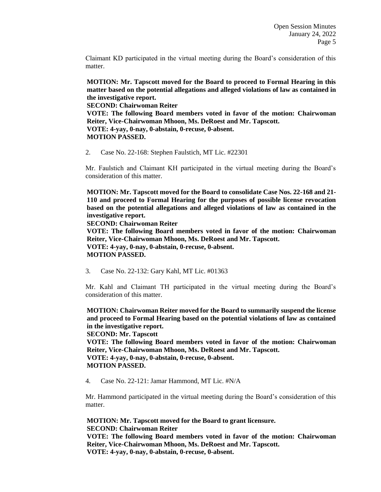Claimant KD participated in the virtual meeting during the Board's consideration of this matter.

**MOTION: Mr. Tapscott moved for the Board to proceed to Formal Hearing in this matter based on the potential allegations and alleged violations of law as contained in the investigative report.** 

**SECOND: Chairwoman Reiter** 

**VOTE: The following Board members voted in favor of the motion: Chairwoman Reiter, Vice-Chairwoman Mhoon, Ms. DeRoest and Mr. Tapscott. VOTE: 4-yay, 0-nay, 0-abstain, 0-recuse, 0-absent.** 

**MOTION PASSED.** 

2. Case No. 22-168: Stephen Faulstich, MT Lic. #22301

Mr. Faulstich and Claimant KH participated in the virtual meeting during the Board's consideration of this matter.

**MOTION: Mr. Tapscott moved for the Board to consolidate Case Nos. 22-168 and 21- 110 and proceed to Formal Hearing for the purposes of possible license revocation based on the potential allegations and alleged violations of law as contained in the investigative report.** 

**SECOND: Chairwoman Reiter** 

**VOTE: The following Board members voted in favor of the motion: Chairwoman Reiter, Vice-Chairwoman Mhoon, Ms. DeRoest and Mr. Tapscott.**

**VOTE: 4-yay, 0-nay, 0-abstain, 0-recuse, 0-absent. MOTION PASSED.** 

3. Case No. 22-132: Gary Kahl, MT Lic. #01363

Mr. Kahl and Claimant TH participated in the virtual meeting during the Board's consideration of this matter.

**MOTION: Chairwoman Reiter moved for the Board to summarily suspend the license and proceed to Formal Hearing based on the potential violations of law as contained in the investigative report.** 

**SECOND: Mr. Tapscott** 

**VOTE: The following Board members voted in favor of the motion: Chairwoman Reiter, Vice-Chairwoman Mhoon, Ms. DeRoest and Mr. Tapscott. VOTE: 4-yay, 0-nay, 0-abstain, 0-recuse, 0-absent.** 

**MOTION PASSED.** 

4. Case No. 22-121: Jamar Hammond, MT Lic. #N/A

Mr. Hammond participated in the virtual meeting during the Board's consideration of this matter.

**MOTION: Mr. Tapscott moved for the Board to grant licensure. SECOND: Chairwoman Reiter** 

**VOTE: The following Board members voted in favor of the motion: Chairwoman Reiter, Vice-Chairwoman Mhoon, Ms. DeRoest and Mr. Tapscott.**

**VOTE: 4-yay, 0-nay, 0-abstain, 0-recuse, 0-absent.**